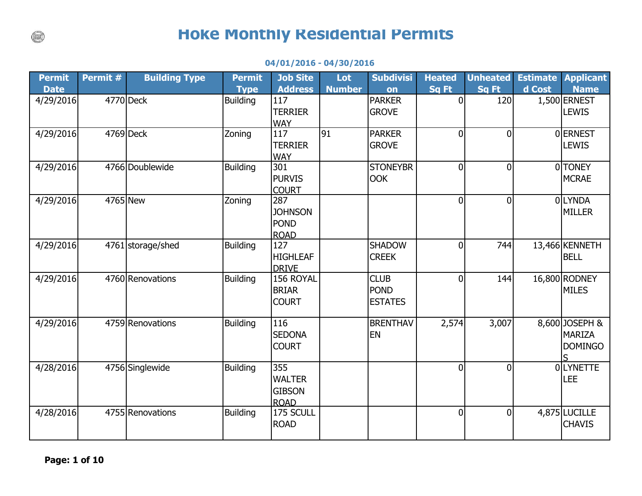## **Hoke Monthly Residential Permits**

| <b>Permit</b> | Permit # | <b>Building Type</b> | <b>Permit</b>   | <b>Job Site</b>     | Lot             | <b>Subdivisi</b> | <b>Heated</b>  | <b>Unheated</b> | <b>Estimate</b> | <b>Applicant</b> |
|---------------|----------|----------------------|-----------------|---------------------|-----------------|------------------|----------------|-----------------|-----------------|------------------|
| <b>Date</b>   |          |                      | <b>Type</b>     | <b>Address</b>      | <b>Number</b>   | on               | <b>Sq Ft</b>   | Sq Ft           | d Cost          | <b>Name</b>      |
| 4/29/2016     |          | 4770 Deck            | <b>Building</b> | 117                 |                 | <b>PARKER</b>    | $\overline{0}$ | 120             |                 | 1,500 ERNEST     |
|               |          |                      |                 | <b>TERRIER</b>      |                 | <b>GROVE</b>     |                |                 |                 | <b>LEWIS</b>     |
|               |          |                      |                 | <b>WAY</b>          |                 |                  |                |                 |                 |                  |
| 4/29/2016     |          | 4769 Deck            | Zoning          | 117                 | $\overline{91}$ | <b>PARKER</b>    | $\overline{0}$ | $\Omega$        |                 | 0 ERNEST         |
|               |          |                      |                 | <b>TERRIER</b>      |                 | <b>GROVE</b>     |                |                 |                 | <b>LEWIS</b>     |
|               |          |                      |                 | <b>WAY</b>          |                 |                  |                |                 |                 |                  |
| 4/29/2016     |          | 4766 Doublewide      | <b>Building</b> | 301                 |                 | <b>STONEYBR</b>  | $\Omega$       | $\overline{0}$  |                 | 0TONEY           |
|               |          |                      |                 | <b>PURVIS</b>       |                 | <b>OOK</b>       |                |                 |                 | <b>MCRAE</b>     |
|               | 4765 New |                      |                 | <b>COURT</b><br>287 |                 |                  |                | $\overline{0}$  |                 | 0LYNDA           |
| 4/29/2016     |          |                      | Zoning          |                     |                 |                  | 0              |                 |                 |                  |
|               |          |                      |                 | <b>JOHNSON</b>      |                 |                  |                |                 |                 | <b>MILLER</b>    |
|               |          |                      |                 | <b>POND</b>         |                 |                  |                |                 |                 |                  |
| 4/29/2016     |          | 4761 storage/shed    | <b>Building</b> | <b>ROAD</b><br>127  |                 | <b>SHADOW</b>    | 0              | 744             |                 | 13,466 KENNETH   |
|               |          |                      |                 | <b>HIGHLEAF</b>     |                 | <b>CREEK</b>     |                |                 |                 | <b>BELL</b>      |
|               |          |                      |                 | <b>DRIVE</b>        |                 |                  |                |                 |                 |                  |
| 4/29/2016     |          | 4760 Renovations     | Building        | 156 ROYAL           |                 | <b>CLUB</b>      | 0              | 144             |                 | 16,800 RODNEY    |
|               |          |                      |                 | <b>BRIAR</b>        |                 | <b>POND</b>      |                |                 |                 | <b>MILES</b>     |
|               |          |                      |                 | <b>COURT</b>        |                 | <b>ESTATES</b>   |                |                 |                 |                  |
|               |          |                      |                 |                     |                 |                  |                |                 |                 |                  |
| 4/29/2016     |          | 4759 Renovations     | <b>Building</b> | 116                 |                 | <b>BRENTHAV</b>  | 2,574          | 3,007           |                 | 8,600 JOSEPH &   |
|               |          |                      |                 | <b>SEDONA</b>       |                 | <b>EN</b>        |                |                 |                 | <b>MARIZA</b>    |
|               |          |                      |                 | <b>COURT</b>        |                 |                  |                |                 |                 | <b>DOMINGO</b>   |
|               |          |                      |                 |                     |                 |                  |                |                 |                 |                  |
| 4/28/2016     |          | 4756 Singlewide      | <b>Building</b> | 355                 |                 |                  | $\Omega$       | $\Omega$        |                 | 0LYNETTE         |
|               |          |                      |                 | <b>WALTER</b>       |                 |                  |                |                 |                 | <b>LEE</b>       |
|               |          |                      |                 | <b>GIBSON</b>       |                 |                  |                |                 |                 |                  |
|               |          |                      |                 | <b>ROAD</b>         |                 |                  |                |                 |                 |                  |
| 4/28/2016     |          | 4755 Renovations     | <b>Building</b> | 175 SCULL           |                 |                  | 0              | $\Omega$        |                 | 4,875 LUCILLE    |
|               |          |                      |                 | <b>ROAD</b>         |                 |                  |                |                 |                 | <b>CHAVIS</b>    |
|               |          |                      |                 |                     |                 |                  |                |                 |                 |                  |

## **04/01/2016 - 04/30/2016**

 $\binom{1}{k}$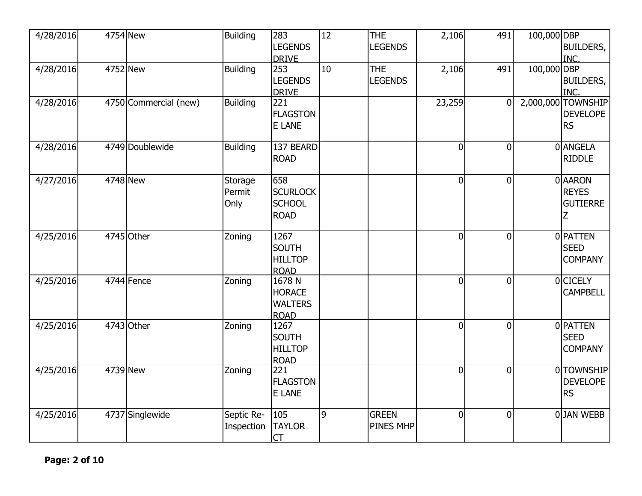| 4/28/2016 | 4754 New              | <b>Building</b>           | 283<br><b>LEGENDS</b><br><b>DRIVE</b>                    | $\overline{12}$ | <b>THE</b><br><b>LEGENDS</b> | 2,106          | 491            | 100,000 DBP | BUILDERS,<br>INC.                               |
|-----------|-----------------------|---------------------------|----------------------------------------------------------|-----------------|------------------------------|----------------|----------------|-------------|-------------------------------------------------|
| 4/28/2016 | 4752 New              | <b>Building</b>           | 253<br><b>LEGENDS</b><br><b>DRIVE</b>                    | 10              | <b>THE</b><br><b>LEGENDS</b> | 2,106          | 491            | 100,000 DBP | BUILDERS,<br>INC.                               |
| 4/28/2016 | 4750 Commercial (new) | <b>Building</b>           | 221<br><b>FLAGSTON</b><br><b>E LANE</b>                  |                 |                              | 23,259         | $\overline{0}$ | 2,000,000   | <b>TOWNSHIP</b><br><b>DEVELOPE</b><br><b>RS</b> |
| 4/28/2016 | 4749 Doublewide       | <b>Building</b>           | 137 BEARD<br><b>ROAD</b>                                 |                 |                              | $\mathbf 0$    | $\overline{0}$ |             | 0 ANGELA<br><b>RIDDLE</b>                       |
| 4/27/2016 | 4748 New              | Storage<br>Permit<br>Only | 658<br><b>SCURLOCK</b><br><b>SCHOOL</b><br><b>ROAD</b>   |                 |                              | $\overline{0}$ | $\overline{0}$ |             | 0 AARON<br><b>REYES</b><br><b>GUTIERRE</b><br>Ζ |
| 4/25/2016 | 4745 Other            | Zoning                    | 1267<br><b>SOUTH</b><br><b>HILLTOP</b><br><b>ROAD</b>    |                 |                              | $\overline{0}$ | $\overline{0}$ |             | 0 PATTEN<br><b>SEED</b><br><b>COMPANY</b>       |
| 4/25/2016 | 4744 Fence            | Zoning                    | 1678 N<br><b>HORACE</b><br><b>WALTERS</b><br><b>ROAD</b> |                 |                              | $\overline{0}$ | $\overline{0}$ |             | 0 CICELY<br><b>CAMPBELL</b>                     |
| 4/25/2016 | 4743 Other            | Zoning                    | 1267<br><b>SOUTH</b><br><b>HILLTOP</b><br><b>ROAD</b>    |                 |                              | $\overline{0}$ | $\overline{0}$ |             | 0 PATTEN<br><b>SEED</b><br><b>COMPANY</b>       |
| 4/25/2016 | 4739 New              | Zoning                    | 221<br><b>FLAGSTON</b><br><b>E LANE</b>                  |                 |                              | $\overline{0}$ | $\overline{0}$ |             | 0 TOWNSHIP<br><b>DEVELOPE</b><br><b>RS</b>      |
| 4/25/2016 | 4737 Singlewide       | Septic Re-<br>Inspection  | 105<br><b>TAYLOR</b><br>CT                               | $\overline{9}$  | <b>GREEN</b><br>PINES MHP    | $\overline{0}$ | $\mathbf 0$    |             | 0JAN WEBB                                       |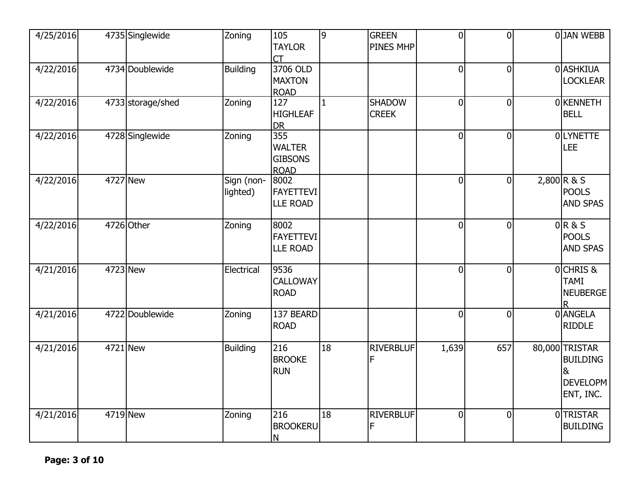| 4/25/2016 |          | 4735 Singlewide   | Zoning                 | 105<br><b>TAYLOR</b><br>CT                            | 9            | <b>GREEN</b><br>PINES MHP     | $\overline{0}$ | $\overline{0}$ | 0JAN WEBB                                                                    |
|-----------|----------|-------------------|------------------------|-------------------------------------------------------|--------------|-------------------------------|----------------|----------------|------------------------------------------------------------------------------|
| 4/22/2016 |          | 4734 Doublewide   | <b>Building</b>        | 3706 OLD<br><b>MAXTON</b><br><b>ROAD</b>              |              |                               | $\overline{0}$ | $\overline{0}$ | 0 ASHKIUA<br><b>LOCKLEAR</b>                                                 |
| 4/22/2016 |          | 4733 storage/shed | Zoning                 | 127<br><b>HIGHLEAF</b><br><b>DR</b>                   | $\mathbf{1}$ | <b>SHADOW</b><br><b>CREEK</b> | $\overline{0}$ | $\overline{0}$ | 0 KENNETH<br><b>BELL</b>                                                     |
| 4/22/2016 |          | 4728 Singlewide   | Zoning                 | 355<br><b>WALTER</b><br><b>GIBSONS</b><br><b>ROAD</b> |              |                               | 0              | $\overline{0}$ | <b>OLYNETTE</b><br><b>LEE</b>                                                |
| 4/22/2016 | 4727 New |                   | Sign (non-<br>lighted) | 8002<br>FAYETTEVI<br><b>LLE ROAD</b>                  |              |                               | 0              | $\overline{0}$ | $2,800$ R & S<br><b>POOLS</b><br><b>AND SPAS</b>                             |
| 4/22/2016 |          | 4726 Other        | Zoning                 | 8002<br>FAYETTEVI<br><b>LLE ROAD</b>                  |              |                               | $\overline{0}$ | $\Omega$       | 0R&S<br><b>POOLS</b><br><b>AND SPAS</b>                                      |
| 4/21/2016 | 4723 New |                   | Electrical             | 9536<br><b>CALLOWAY</b><br><b>ROAD</b>                |              |                               | $\overline{0}$ | $\Omega$       | 0 CHRIS &<br><b>TAMI</b><br><b>NEUBERGE</b>                                  |
| 4/21/2016 |          | 4722 Doublewide   | Zoning                 | 137 BEARD<br><b>ROAD</b>                              |              |                               | $\overline{0}$ | $\overline{0}$ | 0 ANGELA<br><b>RIDDLE</b>                                                    |
| 4/21/2016 |          | 4721 New          | <b>Building</b>        | 216<br><b>BROOKE</b><br><b>RUN</b>                    | 18           | <b>RIVERBLUF</b><br>F         | 1,639          | 657            | 80,000 TRISTAR<br><b>BUILDING</b><br>8 <sub>k</sub><br>DEVELOPM<br>ENT, INC. |
| 4/21/2016 | 4719 New |                   | Zoning                 | 216<br><b>BROOKERU</b><br>N                           | 18           | <b>RIVERBLUF</b><br>F         | $\overline{0}$ | $\mathbf 0$    | 0TRISTAR<br><b>BUILDING</b>                                                  |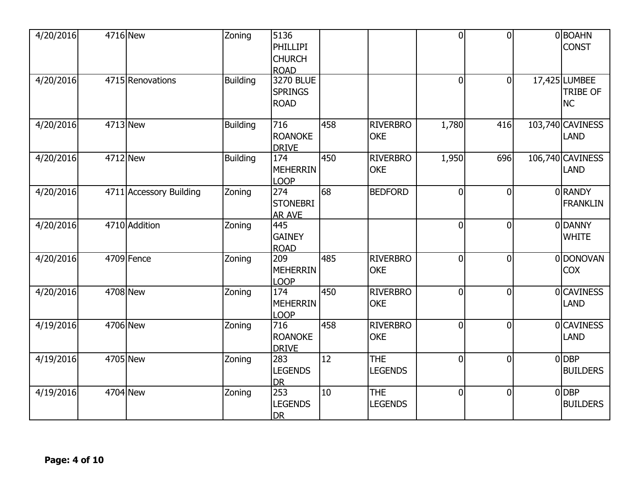| 4/20/2016 | 4716 New |                         | Zoning          | 5136<br><b>PHILLIPI</b><br><b>CHURCH</b><br><b>ROAD</b> |                 |                               | $\Omega$       | $\overline{0}$ | 0BOAHN<br><b>CONST</b>                 |
|-----------|----------|-------------------------|-----------------|---------------------------------------------------------|-----------------|-------------------------------|----------------|----------------|----------------------------------------|
| 4/20/2016 |          | 4715 Renovations        | <b>Building</b> | <b>3270 BLUE</b><br><b>SPRINGS</b><br><b>ROAD</b>       |                 |                               | $\overline{0}$ | $\overline{0}$ | 17,425 LUMBEE<br><b>TRIBE OF</b><br>NC |
| 4/20/2016 | 4713 New |                         | <b>Building</b> | 716<br><b>ROANOKE</b><br><b>DRIVE</b>                   | 458             | <b>RIVERBRO</b><br><b>OKE</b> | 1,780          | 416            | 103,740 CAVINESS<br>LAND               |
| 4/20/2016 | 4712 New |                         | <b>Building</b> | 174<br><b>MEHERRIN</b><br><b>LOOP</b>                   | 450             | <b>RIVERBRO</b><br><b>OKE</b> | 1,950          | 696            | 106,740 CAVINESS<br>LAND               |
| 4/20/2016 |          | 4711 Accessory Building | Zoning          | 274<br><b>STONEBRI</b><br><b>AR AVE</b>                 | 68              | <b>BEDFORD</b>                | $\overline{0}$ | $\overline{0}$ | 0 RANDY<br><b>FRANKLIN</b>             |
| 4/20/2016 |          | 4710 Addition           | Zoning          | 445<br><b>GAINEY</b><br><b>ROAD</b>                     |                 |                               | $\overline{0}$ | $\overline{0}$ | 0DANNY<br><b>WHITE</b>                 |
| 4/20/2016 |          | 4709 Fence              | Zoning          | 209<br><b>MEHERRIN</b><br><b>LOOP</b>                   | 485             | <b>RIVERBRO</b><br><b>OKE</b> | $\overline{0}$ | $\overline{0}$ | 0 DONOVAN<br><b>COX</b>                |
| 4/20/2016 | 4708 New |                         | Zoning          | 174<br><b>MEHERRIN</b><br>LOOP                          | 450             | <b>RIVERBRO</b><br><b>OKE</b> | $\overline{0}$ | $\overline{0}$ | <b>OCAVINESS</b><br>LAND               |
| 4/19/2016 | 4706 New |                         | Zoning          | 716<br><b>ROANOKE</b><br><b>DRIVE</b>                   | 458             | <b>RIVERBRO</b><br><b>OKE</b> | $\overline{0}$ | $\overline{0}$ | <b>OCAVINESS</b><br>LAND               |
| 4/19/2016 | 4705 New |                         | Zoning          | 283<br><b>LEGENDS</b><br><b>DR</b>                      | $\overline{12}$ | <b>THE</b><br><b>LEGENDS</b>  | $\overline{0}$ | $\overline{0}$ | $0$ DBP<br><b>BUILDERS</b>             |
| 4/19/2016 | 4704 New |                         | Zoning          | 253<br><b>LEGENDS</b><br><b>DR</b>                      | 10              | <b>THE</b><br><b>LEGENDS</b>  | $\overline{0}$ | $\overline{0}$ | $0$ DBP<br><b>BUILDERS</b>             |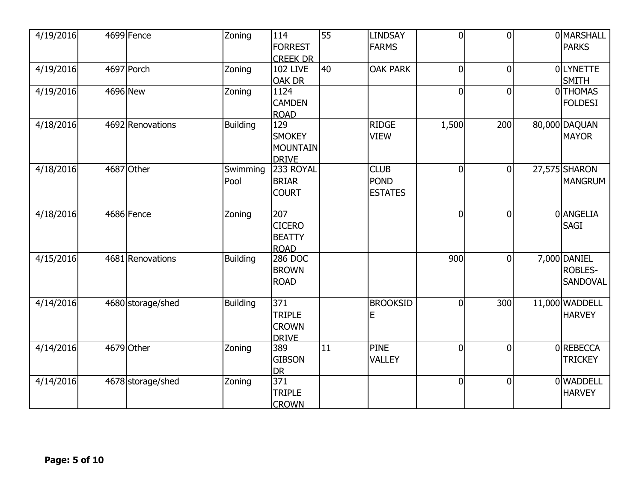| 4/19/2016 |          | 4699 Fence        | Zoning           | 114<br><b>FORREST</b><br><b>CREEK DR</b>                          | 55 | <b>LINDSAY</b><br><b>FARMS</b>               | $\overline{0}$ | $\overline{0}$ | 0 MARSHALL<br><b>PARKS</b>                 |
|-----------|----------|-------------------|------------------|-------------------------------------------------------------------|----|----------------------------------------------|----------------|----------------|--------------------------------------------|
| 4/19/2016 |          | 4697 Porch        | Zoning           | <b>102 LIVE</b><br><b>OAK DR</b>                                  | 40 | <b>OAK PARK</b>                              | $\overline{0}$ | $\mathbf 0$    | 0LYNETTE<br><b>SMITH</b>                   |
| 4/19/2016 | 4696 New |                   | Zoning           | 1124<br><b>CAMDEN</b><br><b>ROAD</b>                              |    |                                              | $\overline{0}$ | $\mathbf 0$    | 0THOMAS<br><b>FOLDESI</b>                  |
| 4/18/2016 |          | 4692 Renovations  | <b>Building</b>  | 129<br><b>SMOKEY</b><br><b>MOUNTAIN</b><br><b>DRIVE</b>           |    | <b>RIDGE</b><br><b>VIEW</b>                  | 1,500          | 200            | 80,000 DAQUAN<br><b>MAYOR</b>              |
| 4/18/2016 |          | 4687 Other        | Swimming<br>Pool | 233 ROYAL<br><b>BRIAR</b><br><b>COURT</b>                         |    | <b>CLUB</b><br><b>POND</b><br><b>ESTATES</b> | $\overline{0}$ | $\overline{0}$ | 27,575 SHARON<br><b>MANGRUM</b>            |
| 4/18/2016 |          | 4686 Fence        | Zoning           | 207<br><b>CICERO</b><br><b>BEATTY</b><br><b>ROAD</b>              |    |                                              | $\overline{0}$ | $\overline{0}$ | 0 ANGELIA<br><b>SAGI</b>                   |
| 4/15/2016 |          | 4681 Renovations  | <b>Building</b>  | 286 DOC<br><b>BROWN</b><br><b>ROAD</b>                            |    |                                              | 900            | $\overline{0}$ | 7,000 DANIEL<br><b>ROBLES-</b><br>SANDOVAL |
| 4/14/2016 |          | 4680 storage/shed | <b>Building</b>  | $\overline{371}$<br><b>TRIPLE</b><br><b>CROWN</b><br><b>DRIVE</b> |    | <b>BROOKSID</b><br>E                         | $\overline{0}$ | 300            | 11,000 WADDELL<br><b>HARVEY</b>            |
| 4/14/2016 |          | 4679 Other        | Zoning           | 389<br><b>GIBSON</b><br><b>DR</b>                                 | 11 | <b>PINE</b><br><b>VALLEY</b>                 | $\overline{0}$ | $\overline{0}$ | 0 REBECCA<br><b>TRICKEY</b>                |
| 4/14/2016 |          | 4678 storage/shed | Zoning           | 371<br><b>TRIPLE</b><br><b>CROWN</b>                              |    |                                              | $\overline{0}$ | $\overline{0}$ | 0 WADDELL<br><b>HARVEY</b>                 |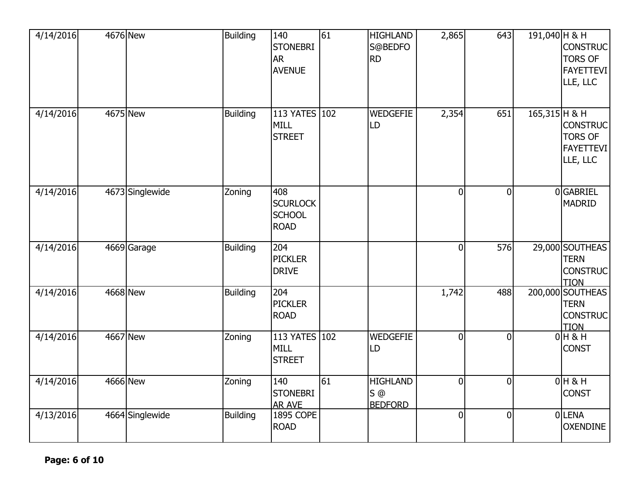| 4/14/2016 | 4676 New |                 | <b>Building</b> | 140<br><b>STONEBRI</b><br><b>AR</b><br><b>AVENUE</b>   | $\overline{61}$ | <b>HIGHLAND</b><br>S@BEDFO<br><b>RD</b>    | 2,865          | 643            | 191,040 H & H | <b>CONSTRUC</b><br><b>TORS OF</b><br><b>FAYETTEVI</b><br>LLE, LLC |
|-----------|----------|-----------------|-----------------|--------------------------------------------------------|-----------------|--------------------------------------------|----------------|----------------|---------------|-------------------------------------------------------------------|
| 4/14/2016 | 4675 New |                 | <b>Building</b> | 113 YATES 102<br><b>MILL</b><br><b>STREET</b>          |                 | <b>WEDGEFIE</b><br>LD                      | 2,354          | 651            | 165,315 H & H | <b>CONSTRUC</b><br><b>TORS OF</b><br><b>FAYETTEVI</b><br>LLE, LLC |
| 4/14/2016 |          | 4673 Singlewide | Zoning          | 408<br><b>SCURLOCK</b><br><b>SCHOOL</b><br><b>ROAD</b> |                 |                                            | $\Omega$       | $\mathbf 0$    |               | 0GABRIEL<br><b>MADRID</b>                                         |
| 4/14/2016 |          | 4669 Garage     | <b>Building</b> | 204<br><b>PICKLER</b><br><b>DRIVE</b>                  |                 |                                            | $\overline{0}$ | 576            |               | 29,000 SOUTHEAS<br><b>TERN</b><br><b>CONSTRUC</b><br><b>TION</b>  |
| 4/14/2016 | 4668 New |                 | <b>Building</b> | 204<br><b>PICKLER</b><br><b>ROAD</b>                   |                 |                                            | 1,742          | 488            |               | 200,000 SOUTHEAS<br><b>TERN</b><br><b>CONSTRUC</b><br><b>TION</b> |
| 4/14/2016 | 4667 New |                 | Zoning          | 113 YATES 102<br><b>MILL</b><br><b>STREET</b>          |                 | <b>WEDGEFIE</b><br>LD                      | $\Omega$       | $\overline{0}$ |               | $0H$ & H<br><b>CONST</b>                                          |
| 4/14/2016 | 4666 New |                 | Zoning          | 140<br><b>STONEBRI</b><br><b>AR AVE</b>                | 61              | <b>HIGHLAND</b><br>$S$ @<br><b>BEDFORD</b> | $\overline{0}$ | $\mathbf 0$    |               | $0H$ & H<br><b>CONST</b>                                          |
| 4/13/2016 |          | 4664 Singlewide | <b>Building</b> | <b>1895 COPE</b><br><b>ROAD</b>                        |                 |                                            | 0              | $\mathbf 0$    |               | 0LENA<br><b>OXENDINE</b>                                          |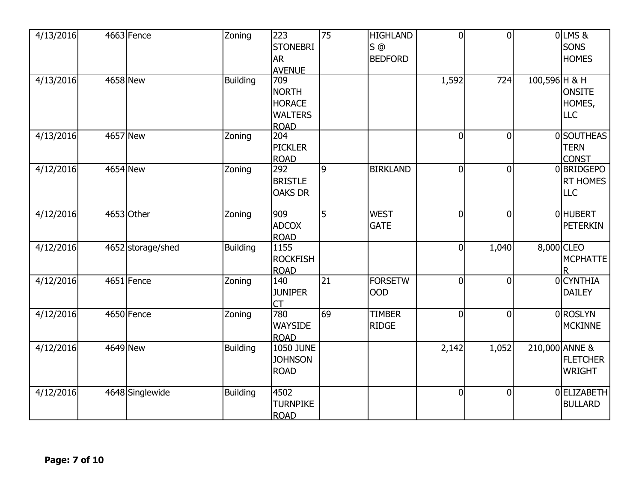| 4/13/2016 |          | 4663 Fence        | Zoning          | 223<br><b>STONEBRI</b><br><b>AR</b><br><b>AVENUE</b>                  | 75             | <b>HIGHLAND</b><br>$S$ <sup><math>@</math></sup><br><b>BEDFORD</b> | $\overline{0}$ | $\overline{0}$ |               | OLMS&<br><b>SONS</b><br><b>HOMES</b>               |
|-----------|----------|-------------------|-----------------|-----------------------------------------------------------------------|----------------|--------------------------------------------------------------------|----------------|----------------|---------------|----------------------------------------------------|
| 4/13/2016 | 4658 New |                   | <b>Building</b> | 709<br><b>NORTH</b><br><b>HORACE</b><br><b>WALTERS</b><br><b>ROAD</b> |                |                                                                    | 1,592          | 724            | 100,596 H & H | <b>ONSITE</b><br>HOMES,<br>LLC                     |
| 4/13/2016 | 4657 New |                   | Zoning          | 204<br><b>PICKLER</b><br><b>ROAD</b>                                  |                |                                                                    | $\overline{0}$ | $\overline{0}$ |               | 0 SOUTHEAS<br><b>TERN</b><br><b>CONST</b>          |
| 4/12/2016 | 4654 New |                   | Zoning          | 292<br><b>BRISTLE</b><br><b>OAKS DR</b>                               | $\overline{9}$ | <b>BIRKLAND</b>                                                    | $\overline{0}$ | $\overline{0}$ |               | 0BRIDGEPO<br><b>RT HOMES</b><br><b>LLC</b>         |
| 4/12/2016 |          | 4653 Other        | Zoning          | 909<br><b>ADCOX</b><br><b>ROAD</b>                                    | $\overline{5}$ | <b>WEST</b><br><b>GATE</b>                                         | $\overline{0}$ | $\overline{0}$ |               | <b>OHUBERT</b><br><b>PETERKIN</b>                  |
| 4/12/2016 |          | 4652 storage/shed | <b>Building</b> | 1155<br><b>ROCKFISH</b><br><b>ROAD</b>                                |                |                                                                    | $\overline{0}$ | 1,040          |               | 8,000 CLEO<br><b>MCPHATTE</b>                      |
| 4/12/2016 |          | 4651 Fence        | Zoning          | 140<br><b>JUNIPER</b><br>CT                                           | 21             | <b>FORSETW</b><br><b>OOD</b>                                       | $\overline{0}$ | $\overline{0}$ |               | 0 CYNTHIA<br><b>DAILEY</b>                         |
| 4/12/2016 |          | 4650 Fence        | Zoning          | 780<br><b>WAYSIDE</b><br><b>ROAD</b>                                  | 69             | <b>TIMBER</b><br><b>RIDGE</b>                                      | $\overline{0}$ | $\overline{0}$ |               | 0 ROSLYN<br><b>MCKINNE</b>                         |
| 4/12/2016 | 4649 New |                   | <b>Building</b> | <b>1050 JUNE</b><br><b>JOHNSON</b><br><b>ROAD</b>                     |                |                                                                    | 2,142          | 1,052          |               | 210,000 ANNE &<br><b>FLETCHER</b><br><b>WRIGHT</b> |
| 4/12/2016 |          | 4648 Singlewide   | Building        | 4502<br><b>TURNPIKE</b><br><b>ROAD</b>                                |                |                                                                    | $\overline{0}$ | $\overline{0}$ |               | 0 ELIZABETH<br><b>BULLARD</b>                      |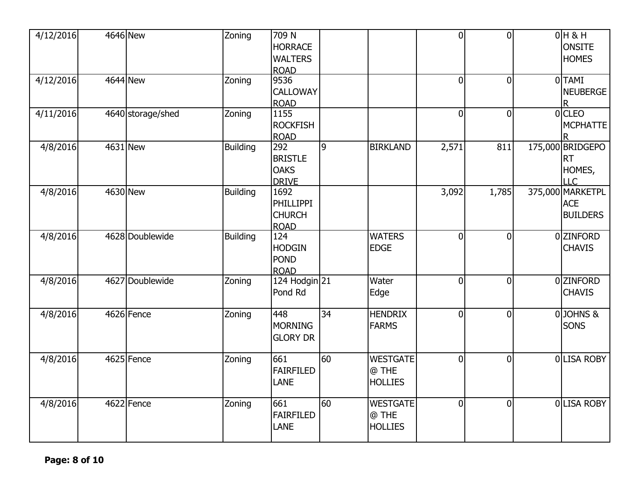| 4/12/2016 | 4646 New          | Zoning          | $\overline{7}09$ N<br><b>HORRACE</b><br><b>WALTERS</b><br><b>ROAD</b> |                 |                                            | $\Omega$       | $\overline{0}$ | $0H$ & H<br><b>ONSITE</b><br><b>HOMES</b>         |
|-----------|-------------------|-----------------|-----------------------------------------------------------------------|-----------------|--------------------------------------------|----------------|----------------|---------------------------------------------------|
| 4/12/2016 | 4644 New          | Zoning          | 9536<br>CALLOWAY<br><b>ROAD</b>                                       |                 |                                            | $\overline{0}$ | $\overline{0}$ | 0TAMI<br><b>NEUBERGE</b><br>R.                    |
| 4/11/2016 | 4640 storage/shed | Zoning          | 1155<br><b>ROCKFISH</b><br><b>ROAD</b>                                |                 |                                            | $\overline{0}$ | $\mathbf 0$    | $0$ CLEO<br><b>MCPHATTE</b>                       |
| 4/8/2016  | 4631 New          | <b>Building</b> | 292<br><b>BRISTLE</b><br><b>OAKS</b><br><b>DRIVE</b>                  | 9               | <b>BIRKLAND</b>                            | 2,571          | 811            | 175,000 BRIDGEPO<br><b>RT</b><br>HOMES,<br>LLC    |
| 4/8/2016  | 4630 New          | <b>Building</b> | 1692<br><b>PHILLIPPI</b><br><b>CHURCH</b><br><b>ROAD</b>              |                 |                                            | 3,092          | 1,785          | 375,000 MARKETPL<br><b>ACE</b><br><b>BUILDERS</b> |
| 4/8/2016  | 4628 Doublewide   | <b>Building</b> | $\overline{124}$<br><b>HODGIN</b><br><b>POND</b><br><b>ROAD</b>       |                 | <b>WATERS</b><br><b>EDGE</b>               | $\overline{0}$ | $\overline{0}$ | 0 ZINFORD<br><b>CHAVIS</b>                        |
| 4/8/2016  | 4627 Doublewide   | Zoning          | 124 Hodgin 21<br>Pond Rd                                              |                 | Water<br>Edge                              | $\overline{0}$ | $\overline{0}$ | 0 ZINFORD<br><b>CHAVIS</b>                        |
| 4/8/2016  | 4626 Fence        | Zoning          | 448<br><b>MORNING</b><br><b>GLORY DR</b>                              | $\overline{34}$ | <b>HENDRIX</b><br><b>FARMS</b>             | $\overline{0}$ | $\overline{0}$ | 0JOHNS&<br>SONS                                   |
| 4/8/2016  | 4625 Fence        | Zoning          | $\overline{661}$<br><b>FAIRFILED</b><br><b>LANE</b>                   | 60              | <b>WESTGATE</b><br>@ THE<br><b>HOLLIES</b> | $\overline{0}$ | $\overline{0}$ | 0 LISA ROBY                                       |
| 4/8/2016  | 4622 Fence        | Zoning          | 661<br><b>FAIRFILED</b><br><b>LANE</b>                                | 60              | <b>WESTGATE</b><br>@ THE<br><b>HOLLIES</b> | $\overline{0}$ | $\overline{0}$ | 0 LISA ROBY                                       |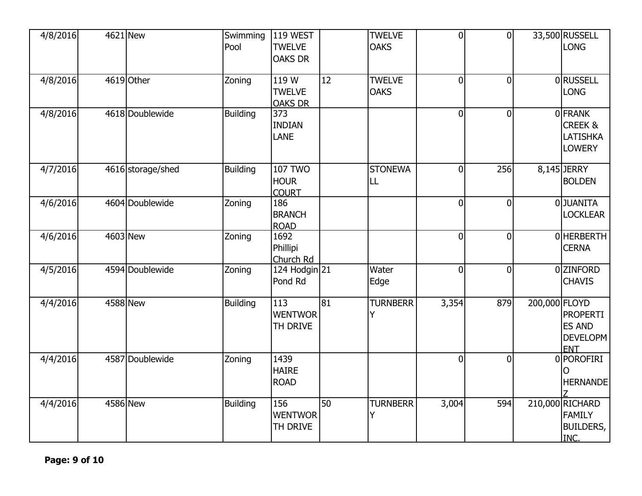| 4/8/2016 | 4621 New          | Swimming<br>Pool | 119 WEST<br><b>TWELVE</b><br><b>OAKS DR</b>   |                 | <b>TWELVE</b><br><b>OAKS</b> | $\overline{0}$ | $\overline{0}$ |               | 33,500 RUSSELL<br><b>LONG</b>                                     |
|----------|-------------------|------------------|-----------------------------------------------|-----------------|------------------------------|----------------|----------------|---------------|-------------------------------------------------------------------|
| 4/8/2016 | 4619 Other        | Zoning           | 119 W<br><b>TWELVE</b><br><b>OAKS DR</b>      | 12              | <b>TWELVE</b><br><b>OAKS</b> | $\overline{0}$ | $\overline{0}$ |               | 0RUSSELL<br><b>LONG</b>                                           |
| 4/8/2016 | 4618 Doublewide   | <b>Building</b>  | 373<br><b>INDIAN</b><br><b>LANE</b>           |                 |                              | $\overline{0}$ | $\overline{0}$ |               | 0FRANK<br><b>CREEK &amp;</b><br><b>LATISHKA</b><br><b>LOWERY</b>  |
| 4/7/2016 | 4616 storage/shed | <b>Building</b>  | <b>107 TWO</b><br><b>HOUR</b><br><b>COURT</b> |                 | <b>STONEWA</b><br>LL         | $\overline{0}$ | 256            |               | 8,145 JERRY<br><b>BOLDEN</b>                                      |
| 4/6/2016 | 4604 Doublewide   | Zoning           | 186<br><b>BRANCH</b><br><b>ROAD</b>           |                 |                              | $\overline{0}$ | $\overline{0}$ |               | 0JUANITA<br><b>LOCKLEAR</b>                                       |
| 4/6/2016 | 4603 New          | Zoning           | 1692<br>Phillipi<br>Church Rd                 |                 |                              | $\overline{0}$ | $\mathbf 0$    |               | 0 HERBERTH<br><b>CERNA</b>                                        |
| 4/5/2016 | 4594 Doublewide   | Zoning           | 124 Hodgin 21<br>Pond Rd                      |                 | Water<br>Edge                | $\overline{0}$ | $\overline{0}$ |               | 0 ZINFORD<br><b>CHAVIS</b>                                        |
| 4/4/2016 | 4588 New          | <b>Building</b>  | 113<br><b>WENTWOR</b><br>TH DRIVE             | $\overline{81}$ | <b>TURNBERR</b><br>Y         | 3,354          | 879            | 200,000 FLOYD | <b>PROPERTI</b><br><b>ES AND</b><br><b>DEVELOPM</b><br><b>ENT</b> |
| 4/4/2016 | 4587 Doublewide   | Zoning           | 1439<br><b>HAIRE</b><br><b>ROAD</b>           |                 |                              | $\overline{0}$ | $\overline{0}$ |               | 0 POROFIRI<br>O<br><b>HERNANDE</b>                                |
| 4/4/2016 | 4586 New          | <b>Building</b>  | 156<br><b>WENTWOR</b><br>TH DRIVE             | 50              | <b>TURNBERR</b><br>Y         | 3,004          | 594            |               | 210,000 RICHARD<br><b>FAMILY</b><br><b>BUILDERS,</b><br>INC.      |